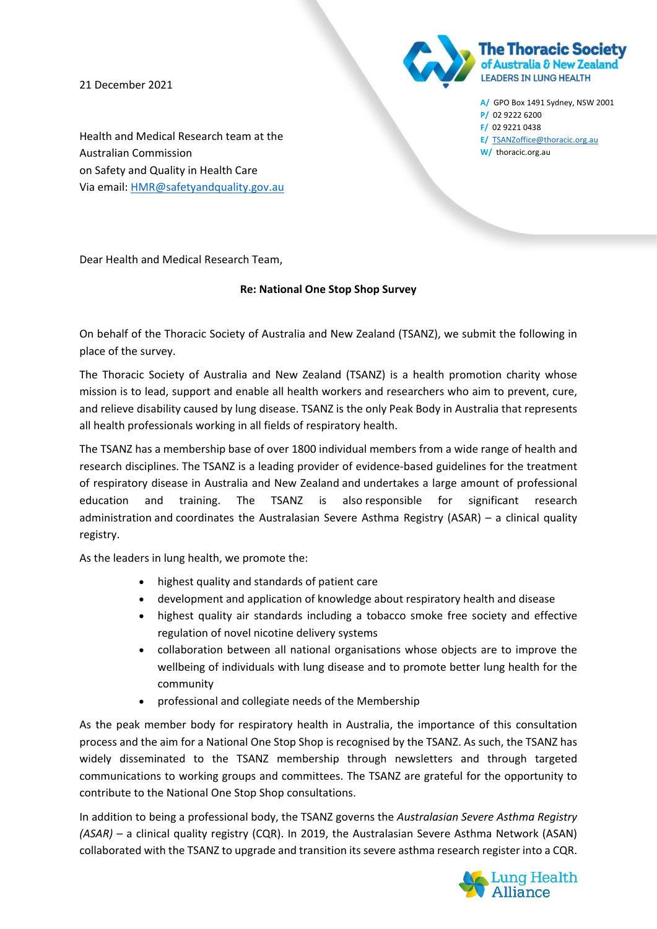21 December 2021



**A/** GPO Box 1491 Sydney, NSW 2001 **P/** 02 9222 6200 **F/** 02 9221 0438 **E/** [TSANZoffice@thoracic.org.au](mailto:TSANZoffice@thoracic.org.au) **W/** thoracic.org.au

Health and Medical Research team at the Australian Commission on Safety and Quality in Health Care Via email: [HMR@safetyandquality.gov.au](mailto:HMR@safetyandquality.gov.au)

Dear Health and Medical Research Team,

## **Re: National One Stop Shop Survey**

On behalf of the Thoracic Society of Australia and New Zealand (TSANZ), we submit the following in place of the survey.

The Thoracic Society of Australia and New Zealand (TSANZ) is a health promotion charity whose mission is to lead, support and enable all health workers and researchers who aim to prevent, cure, and relieve disability caused by lung disease. TSANZ is the only Peak Body in Australia that represents all health professionals working in all fields of respiratory health.

The TSANZ has a membership base of over 1800 individual members from a wide range of health and research disciplines. The TSANZ is a leading provider of evidence-based guidelines for the treatment of respiratory disease in Australia and New Zealand and undertakes a large amount of professional education and training. The TSANZ is also responsible for significant research administration and coordinates the Australasian Severe Asthma Registry (ASAR) – a clinical quality registry.

As the leaders in lung health, we promote the:

- highest quality and standards of patient care
- development and application of knowledge about respiratory health and disease
- highest quality air standards including a tobacco smoke free society and effective regulation of novel nicotine delivery systems
- collaboration between all national organisations whose objects are to improve the wellbeing of individuals with lung disease and to promote better lung health for the community
- professional and collegiate needs of the Membership

As the peak member body for respiratory health in Australia, the importance of this consultation process and the aim for a National One Stop Shop is recognised by the TSANZ. As such, the TSANZ has widely disseminated to the TSANZ membership through newsletters and through targeted communications to working groups and committees. The TSANZ are grateful for the opportunity to contribute to the National One Stop Shop consultations.

In addition to being a professional body, the TSANZ governs the *Australasian Severe Asthma Registry (ASAR) –* a clinical quality registry (CQR). In 2019, the Australasian Severe Asthma Network (ASAN) collaborated with the TSANZ to upgrade and transition its severe asthma research register into a CQR.

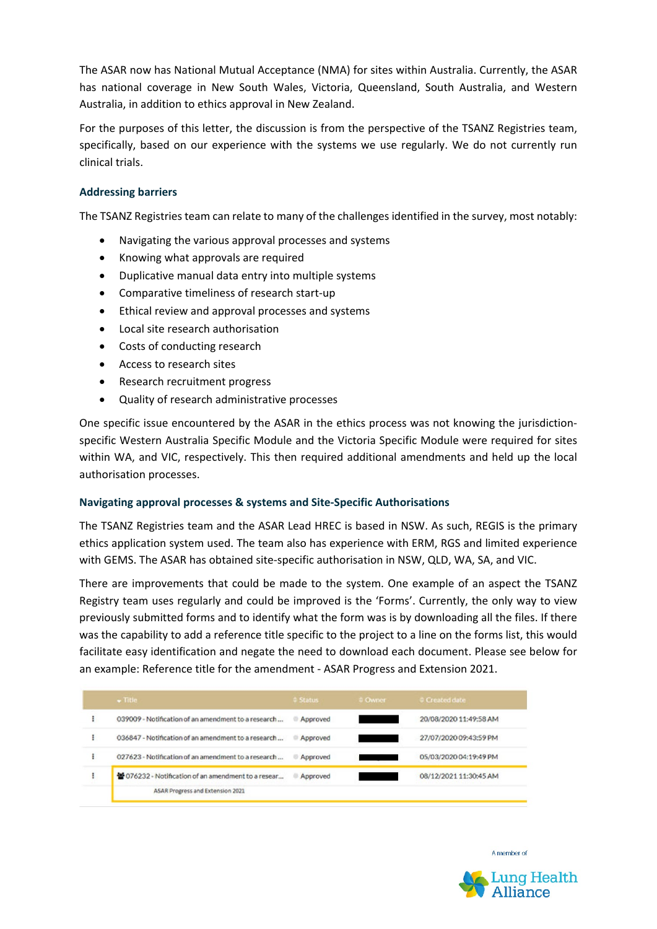The ASAR now has National Mutual Acceptance (NMA) for sites within Australia. Currently, the ASAR has national coverage in New South Wales, Victoria, Queensland, South Australia, and Western Australia, in addition to ethics approval in New Zealand.

For the purposes of this letter, the discussion is from the perspective of the TSANZ Registries team, specifically, based on our experience with the systems we use regularly. We do not currently run clinical trials.

## **Addressing barriers**

The TSANZ Registries team can relate to many of the challenges identified in the survey, most notably:

- Navigating the various approval processes and systems
- Knowing what approvals are required
- Duplicative manual data entry into multiple systems
- Comparative timeliness of research start-up
- Ethical review and approval processes and systems
- Local site research authorisation
- Costs of conducting research
- Access to research sites
- Research recruitment progress
- Quality of research administrative processes

One specific issue encountered by the ASAR in the ethics process was not knowing the jurisdictionspecific Western Australia Specific Module and the Victoria Specific Module were required for sites within WA, and VIC, respectively. This then required additional amendments and held up the local authorisation processes.

#### **Navigating approval processes & systems and Site-Specific Authorisations**

The TSANZ Registries team and the ASAR Lead HREC is based in NSW. As such, REGIS is the primary ethics application system used. The team also has experience with ERM, RGS and limited experience with GEMS. The ASAR has obtained site-specific authorisation in NSW, QLD, WA, SA, and VIC.

There are improvements that could be made to the system. One example of an aspect the TSANZ Registry team uses regularly and could be improved is the 'Forms'. Currently, the only way to view previously submitted forms and to identify what the form was is by downloading all the files. If there was the capability to add a reference title specific to the project to a line on the forms list, this would facilitate easy identification and negate the need to download each document. Please see below for an example: Reference title for the amendment - ASAR Progress and Extension 2021.

|  | $\bullet$ Title                                      | <sup>2</sup> Status | # Owner | Created date           |
|--|------------------------------------------------------|---------------------|---------|------------------------|
|  | 039009 - Notification of an amendment to a research  | Approved            |         | 20/08/2020 11:49:58 AM |
|  | 036847 - Notification of an amendment to a research  | Approved            |         | 27/07/2020 09:43:59 PM |
|  | 027623 - Notification of an amendment to a research  | Approved            |         | 05/03/2020 04:19:49 PM |
|  | 18 076232 - Notification of an amendment to a resear | Approved            |         | 08/12/2021 11:30:45 AM |
|  | ASAR Progress and Extension 2021                     |                     |         |                        |

A member of

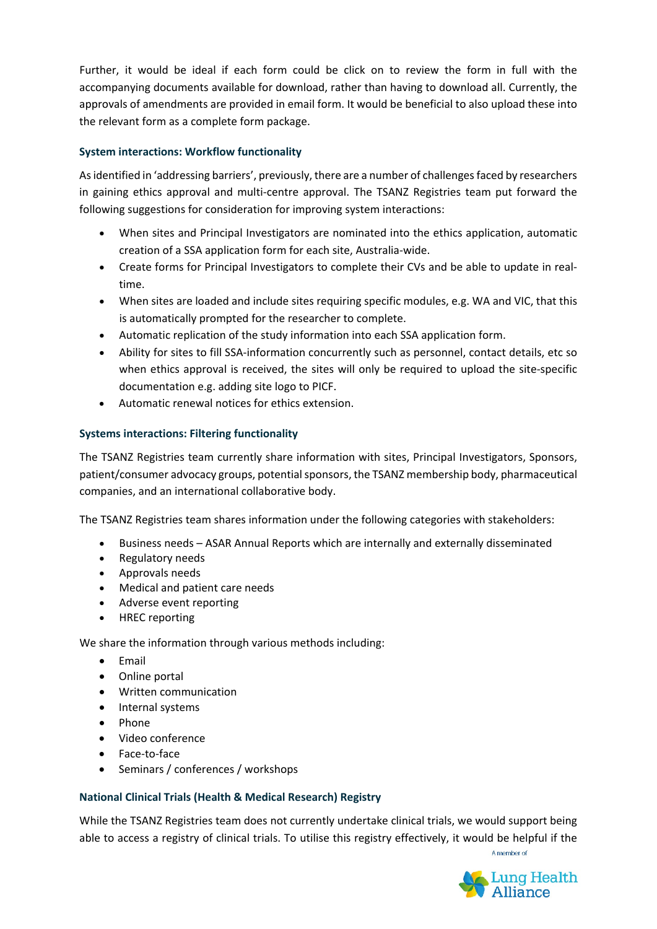Further, it would be ideal if each form could be click on to review the form in full with the accompanying documents available for download, rather than having to download all. Currently, the approvals of amendments are provided in email form. It would be beneficial to also upload these into the relevant form as a complete form package.

# **System interactions: Workflow functionality**

As identified in 'addressing barriers', previously, there are a number of challenges faced by researchers in gaining ethics approval and multi-centre approval. The TSANZ Registries team put forward the following suggestions for consideration for improving system interactions:

- When sites and Principal Investigators are nominated into the ethics application, automatic creation of a SSA application form for each site, Australia-wide.
- Create forms for Principal Investigators to complete their CVs and be able to update in realtime.
- When sites are loaded and include sites requiring specific modules, e.g. WA and VIC, that this is automatically prompted for the researcher to complete.
- Automatic replication of the study information into each SSA application form.
- Ability for sites to fill SSA-information concurrently such as personnel, contact details, etc so when ethics approval is received, the sites will only be required to upload the site-specific documentation e.g. adding site logo to PICF.
- Automatic renewal notices for ethics extension.

# **Systems interactions: Filtering functionality**

The TSANZ Registries team currently share information with sites, Principal Investigators, Sponsors, patient/consumer advocacy groups, potential sponsors, the TSANZ membership body, pharmaceutical companies, and an international collaborative body.

The TSANZ Registries team shares information under the following categories with stakeholders:

- Business needs ASAR Annual Reports which are internally and externally disseminated
- Regulatory needs
- Approvals needs
- Medical and patient care needs
- Adverse event reporting
- HREC reporting

We share the information through various methods including:

- Email
- Online portal
- Written communication
- Internal systems
- Phone
- Video conference
- Face-to-face
- Seminars / conferences / workshops

# **National Clinical Trials (Health & Medical Research) Registry**

While the TSANZ Registries team does not currently undertake clinical trials, we would support being able to access a registry of clinical trials. To utilise this registry effectively, it would be helpful if the

A member of